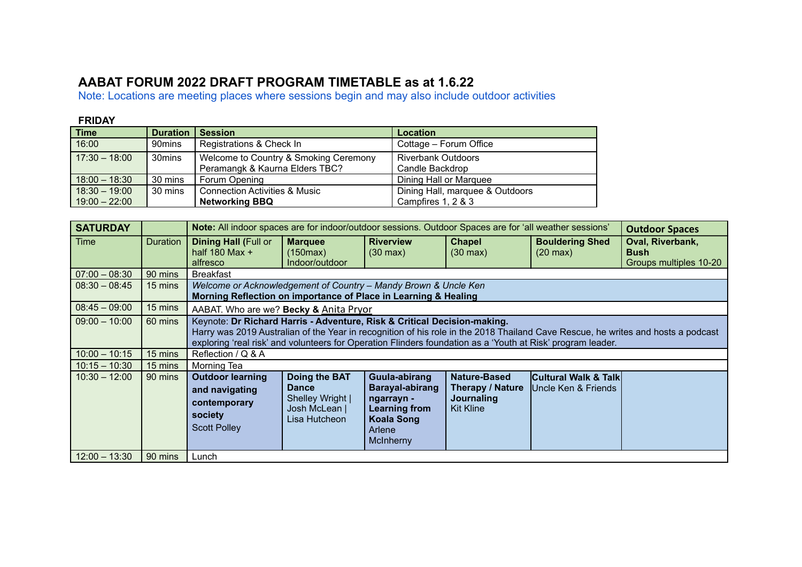## **AABAT FORUM 2022 DRAFT PROGRAM TIMETABLE as at 1.6.22**

Note: Locations are meeting places where sessions begin and may also include outdoor activities

## **FRIDAY**

| <b>Time</b>     | <b>Duration   Session</b> |                                          | Location                        |
|-----------------|---------------------------|------------------------------------------|---------------------------------|
| 16:00           | 90mins                    | Registrations & Check In                 | Cottage - Forum Office          |
| $17:30 - 18:00$ | 30mins                    | Welcome to Country & Smoking Ceremony    | <b>Riverbank Outdoors</b>       |
|                 |                           | Peramangk & Kaurna Elders TBC?           | Candle Backdrop                 |
| $18:00 - 18:30$ | 30 mins                   | Forum Opening                            | Dining Hall or Marquee          |
| $18:30 - 19:00$ | 30 mins                   | <b>Connection Activities &amp; Music</b> | Dining Hall, marquee & Outdoors |
| $19:00 - 22:00$ |                           | <b>Networking BBQ</b>                    | Campfires 1, 2 & 3              |

| <b>SATURDAY</b> |                 | Note: All indoor spaces are for indoor/outdoor sessions. Outdoor Spaces are for 'all weather sessions'                                                                                                                                                                                                                      |                                                                                     |                                                                                                                           |                                                                    |                                                         | <b>Outdoor Spaces</b>                                     |  |
|-----------------|-----------------|-----------------------------------------------------------------------------------------------------------------------------------------------------------------------------------------------------------------------------------------------------------------------------------------------------------------------------|-------------------------------------------------------------------------------------|---------------------------------------------------------------------------------------------------------------------------|--------------------------------------------------------------------|---------------------------------------------------------|-----------------------------------------------------------|--|
| Time            | <b>Duration</b> | <b>Dining Hall (Full or</b><br>half $180$ Max +<br>alfresco                                                                                                                                                                                                                                                                 | <b>Marquee</b><br>(150max)<br>Indoor/outdoor                                        | <b>Riverview</b><br>$(30 \text{ max})$                                                                                    | <b>Chapel</b><br>$(30 \text{ max})$                                | <b>Bouldering Shed</b><br>$(20 \text{ max})$            | Oval, Riverbank,<br><b>Bush</b><br>Groups multiples 10-20 |  |
| $07:00 - 08:30$ | 90 mins         | <b>Breakfast</b>                                                                                                                                                                                                                                                                                                            |                                                                                     |                                                                                                                           |                                                                    |                                                         |                                                           |  |
| $08:30 - 08:45$ | 15 mins         | Welcome or Acknowledgement of Country - Mandy Brown & Uncle Ken<br>Morning Reflection on importance of Place in Learning & Healing                                                                                                                                                                                          |                                                                                     |                                                                                                                           |                                                                    |                                                         |                                                           |  |
| $08:45 - 09:00$ | 15 mins         | AABAT. Who are we? Becky & Anita Pryor                                                                                                                                                                                                                                                                                      |                                                                                     |                                                                                                                           |                                                                    |                                                         |                                                           |  |
| $09:00 - 10:00$ | 60 mins         | Keynote: Dr Richard Harris - Adventure, Risk & Critical Decision-making.<br>Harry was 2019 Australian of the Year in recognition of his role in the 2018 Thailand Cave Rescue, he writes and hosts a podcast<br>exploring 'real risk' and volunteers for Operation Flinders foundation as a 'Youth at Risk' program leader. |                                                                                     |                                                                                                                           |                                                                    |                                                         |                                                           |  |
| $10:00 - 10:15$ | 15 mins         | Reflection / Q & A                                                                                                                                                                                                                                                                                                          |                                                                                     |                                                                                                                           |                                                                    |                                                         |                                                           |  |
| $10:15 - 10:30$ | 15 mins         | Morning Tea                                                                                                                                                                                                                                                                                                                 |                                                                                     |                                                                                                                           |                                                                    |                                                         |                                                           |  |
| $10:30 - 12:00$ | 90 mins         | <b>Outdoor learning</b><br>and navigating<br>contemporary<br>society<br><b>Scott Polley</b>                                                                                                                                                                                                                                 | Doing the BAT<br><b>Dance</b><br>Shelley Wright  <br>Josh McLean  <br>Lisa Hutcheon | Guula-abirang<br><b>Barayal-abirang</b><br>ngarrayn -<br><b>Learning from</b><br><b>Koala Song</b><br>Arlene<br>McInherny | Nature-Based<br>Therapy / Nature<br>Journaling<br><b>Kit Kline</b> | <b>Cultural Walk &amp; Talk</b><br>IUncle Ken & Friends |                                                           |  |
| $12:00 - 13:30$ | 90 mins         | Lunch                                                                                                                                                                                                                                                                                                                       |                                                                                     |                                                                                                                           |                                                                    |                                                         |                                                           |  |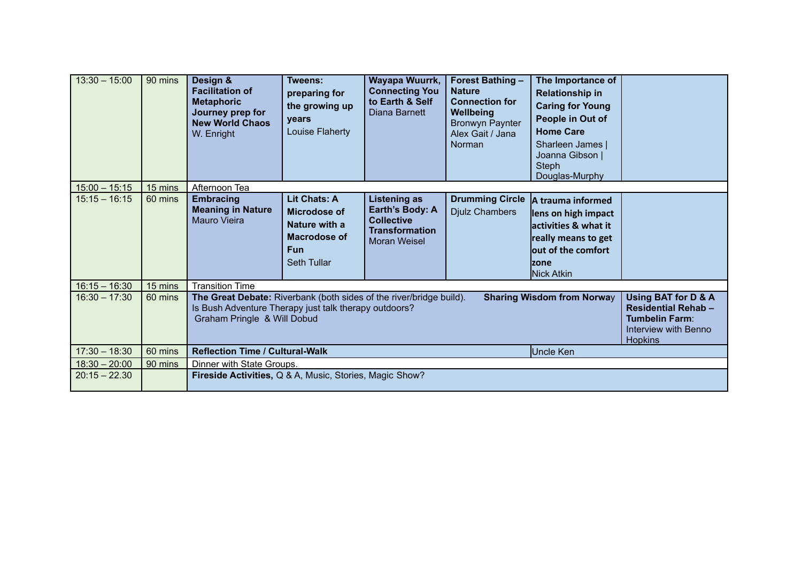| $13:30 - 15:00$ | 90 mins | Design &<br><b>Facilitation of</b><br><b>Metaphoric</b><br>Journey prep for<br><b>New World Chaos</b><br>W. Enright                                                                                                                                                                                                     | <b>Tweens:</b><br>preparing for<br>the growing up<br>years<br>Louise Flaherty                            | Wayapa Wuurrk,<br><b>Connecting You</b><br>to Earth & Self<br>Diana Barnett                                 | <b>Forest Bathing -</b><br><b>Nature</b><br><b>Connection for</b><br>Wellbeing<br><b>Bronwyn Paynter</b><br>Alex Gait / Jana<br>Norman | The Importance of<br><b>Relationship in</b><br><b>Caring for Young</b><br>People in Out of<br><b>Home Care</b><br>Sharleen James  <br>Joanna Gibson  <br><b>Steph</b><br>Douglas-Murphy |  |
|-----------------|---------|-------------------------------------------------------------------------------------------------------------------------------------------------------------------------------------------------------------------------------------------------------------------------------------------------------------------------|----------------------------------------------------------------------------------------------------------|-------------------------------------------------------------------------------------------------------------|----------------------------------------------------------------------------------------------------------------------------------------|-----------------------------------------------------------------------------------------------------------------------------------------------------------------------------------------|--|
| $15:00 - 15:15$ | 15 mins | Afternoon Tea                                                                                                                                                                                                                                                                                                           |                                                                                                          |                                                                                                             |                                                                                                                                        |                                                                                                                                                                                         |  |
| $15:15 - 16:15$ | 60 mins | <b>Embracing</b><br><b>Meaning in Nature</b><br>Mauro Vieira                                                                                                                                                                                                                                                            | <b>Lit Chats: A</b><br>Microdose of<br>Nature with a<br>Macrodose of<br><b>Fun</b><br><b>Seth Tullar</b> | <b>Listening as</b><br>Earth's Body: A<br><b>Collective</b><br><b>Transformation</b><br><b>Moran Weisel</b> | <b>Drumming Circle</b><br><b>Djulz Chambers</b>                                                                                        | A trauma informed<br>lens on high impact<br>activities & what it<br>really means to get<br>lout of the comfort<br>Izone<br>Nick Atkin                                                   |  |
| $16:15 - 16:30$ | 15 mins | <b>Transition Time</b>                                                                                                                                                                                                                                                                                                  |                                                                                                          |                                                                                                             |                                                                                                                                        |                                                                                                                                                                                         |  |
| $16:30 - 17:30$ | 60 mins | The Great Debate: Riverbank (both sides of the river/bridge build).<br><b>Sharing Wisdom from Norway</b><br>Using BAT for D & A<br><b>Residential Rehab-</b><br>Is Bush Adventure Therapy just talk therapy outdoors?<br>Graham Pringle & Will Dobud<br><b>Tumbelin Farm:</b><br>Interview with Benno<br><b>Hopkins</b> |                                                                                                          |                                                                                                             |                                                                                                                                        |                                                                                                                                                                                         |  |
| $17:30 - 18:30$ | 60 mins | <b>Reflection Time / Cultural-Walk</b><br>Uncle Ken                                                                                                                                                                                                                                                                     |                                                                                                          |                                                                                                             |                                                                                                                                        |                                                                                                                                                                                         |  |
| $18:30 - 20:00$ | 90 mins | Dinner with State Groups.                                                                                                                                                                                                                                                                                               |                                                                                                          |                                                                                                             |                                                                                                                                        |                                                                                                                                                                                         |  |
| $20:15 - 22.30$ |         | Fireside Activities, Q & A, Music, Stories, Magic Show?                                                                                                                                                                                                                                                                 |                                                                                                          |                                                                                                             |                                                                                                                                        |                                                                                                                                                                                         |  |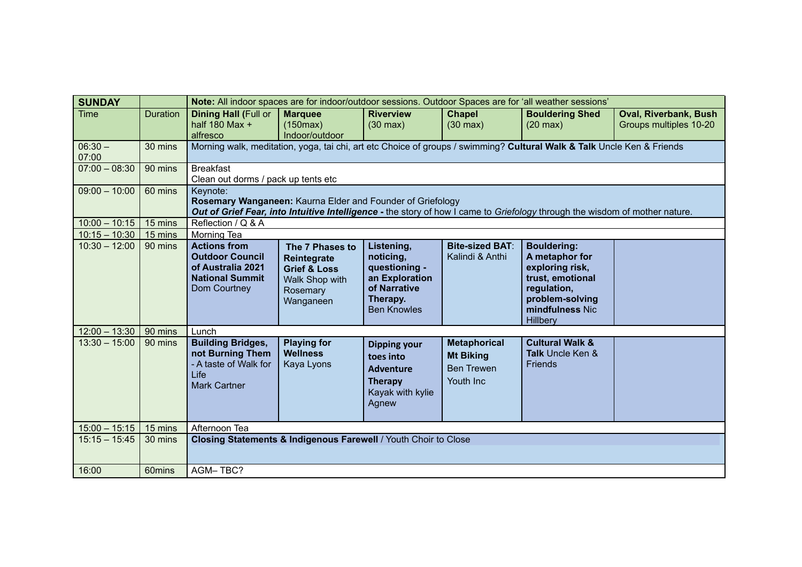| <b>SUNDAY</b>      |                 | Note: All indoor spaces are for indoor/outdoor sessions. Outdoor Spaces are for 'all weather sessions'                                                                                                |                                                                                                      |                                                                                                              |                                                                           |                                                                                                                                              |                                                        |  |  |
|--------------------|-----------------|-------------------------------------------------------------------------------------------------------------------------------------------------------------------------------------------------------|------------------------------------------------------------------------------------------------------|--------------------------------------------------------------------------------------------------------------|---------------------------------------------------------------------------|----------------------------------------------------------------------------------------------------------------------------------------------|--------------------------------------------------------|--|--|
| <b>Time</b>        | <b>Duration</b> | <b>Dining Hall (Full or</b><br>half 180 Max $+$<br>alfresco                                                                                                                                           | <b>Marquee</b><br>(150max)<br>Indoor/outdoor                                                         | <b>Riverview</b><br>$(30 \text{ max})$                                                                       | <b>Chapel</b><br>$(30 \text{ max})$                                       | <b>Bouldering Shed</b><br>$(20 \text{ max})$                                                                                                 | <b>Oval, Riverbank, Bush</b><br>Groups multiples 10-20 |  |  |
| $06:30 -$<br>07:00 | 30 mins         | Morning walk, meditation, yoga, tai chi, art etc Choice of groups / swimming? Cultural Walk & Talk Uncle Ken & Friends                                                                                |                                                                                                      |                                                                                                              |                                                                           |                                                                                                                                              |                                                        |  |  |
| $07:00 - 08:30$    | 90 mins         | <b>Breakfast</b><br>Clean out dorms / pack up tents etc                                                                                                                                               |                                                                                                      |                                                                                                              |                                                                           |                                                                                                                                              |                                                        |  |  |
| $09:00 - 10:00$    | 60 mins         | Keynote:<br>Rosemary Wanganeen: Kaurna Elder and Founder of Griefology<br>Out of Grief Fear, into Intuitive Intelligence - the story of how I came to Griefology through the wisdom of mother nature. |                                                                                                      |                                                                                                              |                                                                           |                                                                                                                                              |                                                        |  |  |
| $10:00 - 10:15$    | 15 mins         |                                                                                                                                                                                                       | Reflection / Q & A                                                                                   |                                                                                                              |                                                                           |                                                                                                                                              |                                                        |  |  |
| $10:15 - 10:30$    | 15 mins         | <b>Morning Tea</b>                                                                                                                                                                                    |                                                                                                      |                                                                                                              |                                                                           |                                                                                                                                              |                                                        |  |  |
| $10:30 - 12:00$    | 90 mins         | <b>Actions from</b><br><b>Outdoor Council</b><br>of Australia 2021<br><b>National Summit</b><br>Dom Courtney                                                                                          | The 7 Phases to<br>Reintegrate<br><b>Grief &amp; Loss</b><br>Walk Shop with<br>Rosemary<br>Wanganeen | Listening,<br>noticing,<br>questioning -<br>an Exploration<br>of Narrative<br>Therapy.<br><b>Ben Knowles</b> | <b>Bite-sized BAT:</b><br>Kalindi & Anthi                                 | <b>Bouldering:</b><br>A metaphor for<br>exploring risk,<br>trust, emotional<br>regulation,<br>problem-solving<br>mindfulness Nic<br>Hillbery |                                                        |  |  |
| $12:00 - 13:30$    | $\vert$ 90 mins | Lunch                                                                                                                                                                                                 |                                                                                                      |                                                                                                              |                                                                           |                                                                                                                                              |                                                        |  |  |
| $13:30 - 15:00$    | 90 mins         | <b>Building Bridges,</b><br>not Burning Them<br>- A taste of Walk for<br>Life<br><b>Mark Cartner</b>                                                                                                  | <b>Playing for</b><br><b>Wellness</b><br>Kaya Lyons                                                  | <b>Dipping your</b><br>toes into<br><b>Adventure</b><br><b>Therapy</b><br>Kayak with kylie<br>Agnew          | <b>Metaphorical</b><br><b>Mt Biking</b><br><b>Ben Trewen</b><br>Youth Inc | <b>Cultural Walk &amp;</b><br><b>Talk Uncle Ken &amp;</b><br><b>Friends</b>                                                                  |                                                        |  |  |
| $15:00 - 15:15$    | 15 mins         | Afternoon Tea                                                                                                                                                                                         |                                                                                                      |                                                                                                              |                                                                           |                                                                                                                                              |                                                        |  |  |
| $15:15 - 15:45$    | 30 mins         | Closing Statements & Indigenous Farewell / Youth Choir to Close                                                                                                                                       |                                                                                                      |                                                                                                              |                                                                           |                                                                                                                                              |                                                        |  |  |
| 16:00              | 60mins          | AGM-TBC?                                                                                                                                                                                              |                                                                                                      |                                                                                                              |                                                                           |                                                                                                                                              |                                                        |  |  |